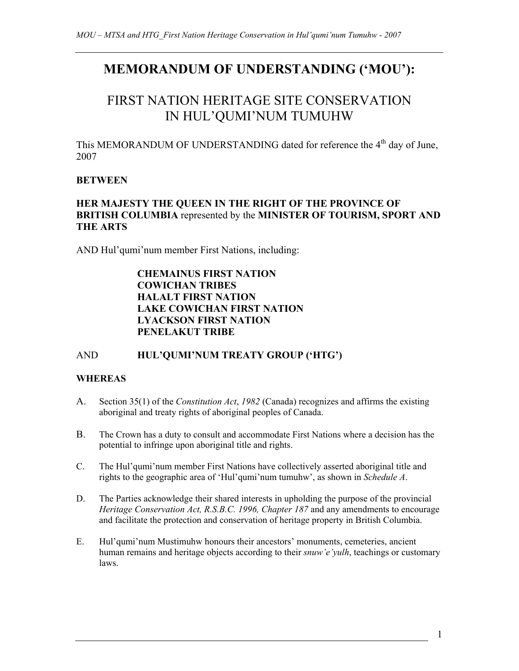# **MEMORANDUM OF UNDERSTANDING ('MOU'):**

# FIRST NATION HERITAGE SITE CONSERVATION IN HUL'QUMI'NUM TUMUHW

This MEMORANDUM OF UNDERSTANDING dated for reference the 4<sup>th</sup> day of June. 2007

# **BETWEEN**

# **HER MAJESTY THE QUEEN IN THE RIGHT OF THE PROVINCE OF BRITISH COLUMBIA** represented by the **MINISTER OF TOURISM, SPORT AND THE ARTS**

AND Hul'qumi'num member First Nations, including:

# **CHEMAINUS FIRST NATION COWICHAN TRIBES HALALT FIRST NATION LAKE COWICHAN FIRST NATION LYACKSON FIRST NATION PENELAKUT TRIBE**

# AND **HUL'QUMI'NUM TREATY GROUP ('HTG')**

#### **WHEREAS**

- A. Section 35(1) of the *Constitution Act*, *1982* (Canada) recognizes and affirms the existing aboriginal and treaty rights of aboriginal peoples of Canada.
- B. The Crown has a duty to consult and accommodate First Nations where a decision has the potential to infringe upon aboriginal title and rights.
- C. The Hul'qumi'num member First Nations have collectively asserted aboriginal title and rights to the geographic area of 'Hul'qumi'num tumuhw', as shown in *Schedule A*.
- D. The Parties acknowledge their shared interests in upholding the purpose of the provincial *Heritage Conservation Act, R.S.B.C. 1996, Chapter 187* and any amendments to encourage and facilitate the protection and conservation of heritage property in British Columbia.
- E. Hul'qumi'num Mustimuhw honours their ancestors' monuments, cemeteries, ancient human remains and heritage objects according to their *snuw'e'yulh*, teachings or customary laws.

1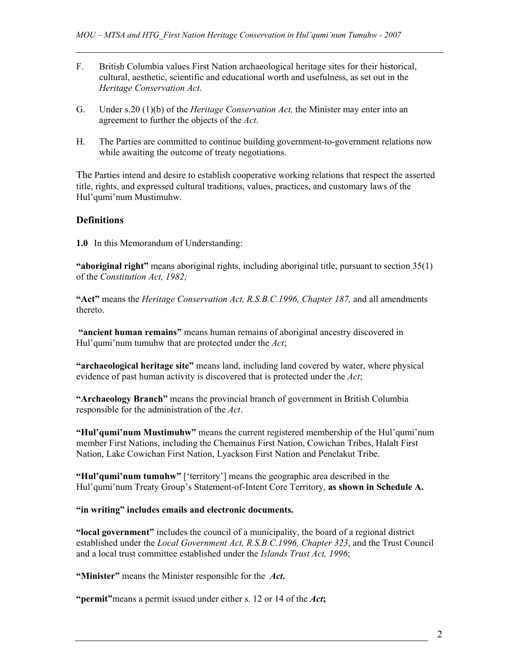- F. British Columbia values First Nation archaeological heritage sites for their historical, cultural, aesthetic, scientific and educational worth and usefulness, as set out in the *Heritage Conservation Act*.
- G. Under s.20 (1)(b) of the *Heritage Conservation Act,* the Minister may enter into an agreement to further the objects of the *Act*.
- H. The Parties are committed to continue building government-to-government relations now while awaiting the outcome of treaty negotiations.

The Parties intend and desire to establish cooperative working relations that respect the asserted title, rights, and expressed cultural traditions, values, practices, and customary laws of the Hul'qumi'num Mustimuhw.

#### **Definitions**

**1.0** In this Memorandum of Understanding:

**"aboriginal right"** means aboriginal rights, including aboriginal title, pursuant to section 35(1) of the *Constitution Act, 1982;* 

**"Act"** means the *Heritage Conservation Act, R.S.B.C.1996, Chapter 187,* and all amendments thereto.

 **"ancient human remains"** means human remains of aboriginal ancestry discovered in Hul'qumi'num tumuhw that are protected under the *Act*;

**"archaeological heritage site"** means land, including land covered by water, where physical evidence of past human activity is discovered that is protected under the *Act*;

**"Archaeology Branch"** means the provincial branch of government in British Columbia responsible for the administration of the *Act*.

**"Hul'qumi'num Mustimuhw"** means the current registered membership of the Hul'qumi'num member First Nations, including the Chemainus First Nation, Cowichan Tribes, Halalt First Nation, Lake Cowichan First Nation, Lyackson First Nation and Penelakut Tribe.

**"Hul'qumi'num tumuhw"** ['territory'] means the geographic area described in the Hul'qumi'num Treaty Group's Statement-of-Intent Core Territory, **as shown in Schedule A.** 

#### **"in writing" includes emails and electronic documents.**

**"local government"** includes the council of a municipality, the board of a regional district established under the *Local Government Act, R.S.B.C.1996, Chapter 323*, and the Trust Council and a local trust committee established under the *Islands Trust Act, 1996*;

**"Minister"** means the Minister responsible for the *Act***.** 

**"permit"**means a permit issued under either s. 12 or 14 of the *Act***;**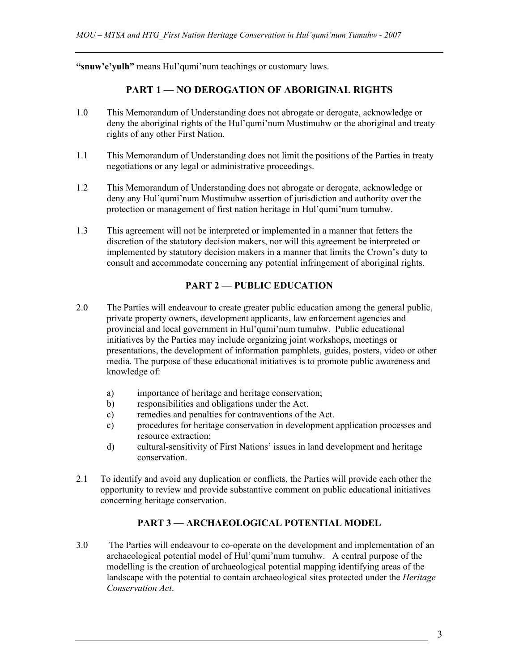"snuw'e'yulh" means Hul'qumi'num teachings or customary laws.

# **PART 1 — NO DEROGATION OF ABORIGINAL RIGHTS**

- 1.0 This Memorandum of Understanding does not abrogate or derogate, acknowledge or deny the aboriginal rights of the Hul'qumi'num Mustimuhw or the aboriginal and treaty rights of any other First Nation.
- 1.1 This Memorandum of Understanding does not limit the positions of the Parties in treaty negotiations or any legal or administrative proceedings.
- 1.2 This Memorandum of Understanding does not abrogate or derogate, acknowledge or deny any Hul'qumi'num Mustimuhw assertion of jurisdiction and authority over the protection or management of first nation heritage in Hul'qumi'num tumuhw.
- 1.3 This agreement will not be interpreted or implemented in a manner that fetters the discretion of the statutory decision makers, nor will this agreement be interpreted or implemented by statutory decision makers in a manner that limits the Crown's duty to consult and accommodate concerning any potential infringement of aboriginal rights.

# **PART 2 — PUBLIC EDUCATION**

- 2.0The Parties will endeavour to create greater public education among the general public, private property owners, development applicants, law enforcement agencies and provincial and local government in Hul'qumi'num tumuhw. Public educational initiatives by the Parties may include organizing joint workshops, meetings or presentations, the development of information pamphlets, guides, posters, video or other media. The purpose of these educational initiatives is to promote public awareness and knowledge of:
	- a) importance of heritage and heritage conservation;
	- b) responsibilities and obligations under the Act.
	- c) remedies and penalties for contraventions of the Act.
	- c) procedures for heritage conservation in development application processes and resource extraction;
	- d) cultural-sensitivity of First Nations' issues in land development and heritage conservation.
- 2.1 To identify and avoid any duplication or conflicts, the Parties will provide each other the opportunity to review and provide substantive comment on public educational initiatives concerning heritage conservation.

# **PART 3 — ARCHAEOLOGICAL POTENTIAL MODEL**

3.0The Parties will endeavour to co-operate on the development and implementation of an archaeological potential model of Hul'qumi'num tumuhw. A central purpose of the modelling is the creation of archaeological potential mapping identifying areas of the landscape with the potential to contain archaeological sites protected under the *Heritage Conservation Act*.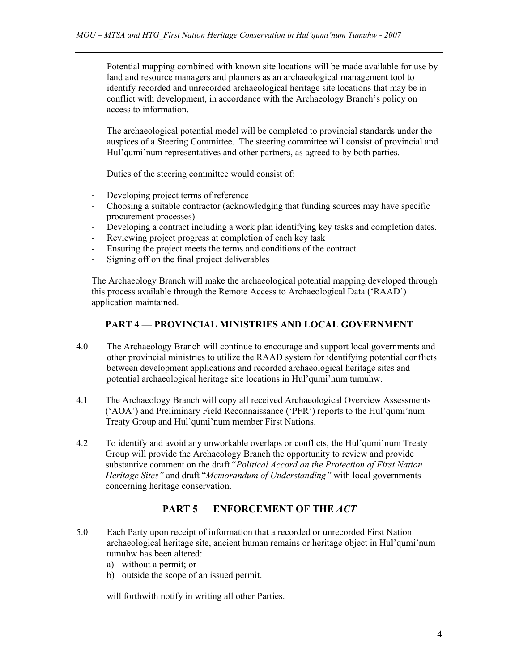Potential mapping combined with known site locations will be made available for use by land and resource managers and planners as an archaeological management tool to identify recorded and unrecorded archaeological heritage site locations that may be in conflict with development, in accordance with the Archaeology Branch's policy on access to information.

The archaeological potential model will be completed to provincial standards under the auspices of a Steering Committee. The steering committee will consist of provincial and Hul'qumi'num representatives and other partners, as agreed to by both parties.

Duties of the steering committee would consist of:

- Developing project terms of reference
- Choosing a suitable contractor (acknowledging that funding sources may have specific procurement processes)
- Developing a contract including a work plan identifying key tasks and completion dates.
- Reviewing project progress at completion of each key task
- Ensuring the project meets the terms and conditions of the contract
- Signing off on the final project deliverables

The Archaeology Branch will make the archaeological potential mapping developed through this process available through the Remote Access to Archaeological Data ('RAAD') application maintained.

#### **PART 4 — PROVINCIAL MINISTRIES AND LOCAL GOVERNMENT**

- 4.0 The Archaeology Branch will continue to encourage and support local governments and other provincial ministries to utilize the RAAD system for identifying potential conflicts between development applications and recorded archaeological heritage sites and potential archaeological heritage site locations in Hul'qumi'num tumuhw.
- 4.1 The Archaeology Branch will copy all received Archaeological Overview Assessments ('AOA') and Preliminary Field Reconnaissance ('PFR') reports to the Hul'qumi'num Treaty Group and Hul'qumi'num member First Nations.
- 4.2 To identify and avoid any unworkable overlaps or conflicts, the Hul'qumi'num Treaty Group will provide the Archaeology Branch the opportunity to review and provide substantive comment on the draft "*Political Accord on the Protection of First Nation Heritage Sites"* and draft "*Memorandum of Understanding"* with local governments concerning heritage conservation.

# **PART 5 — ENFORCEMENT OF THE** *ACT*

- 5.0 Each Party upon receipt of information that a recorded or unrecorded First Nation archaeological heritage site, ancient human remains or heritage object in Hul'qumi'num tumuhw has been altered:
	- a) without a permit; or
	- b) outside the scope of an issued permit.

will forthwith notify in writing all other Parties.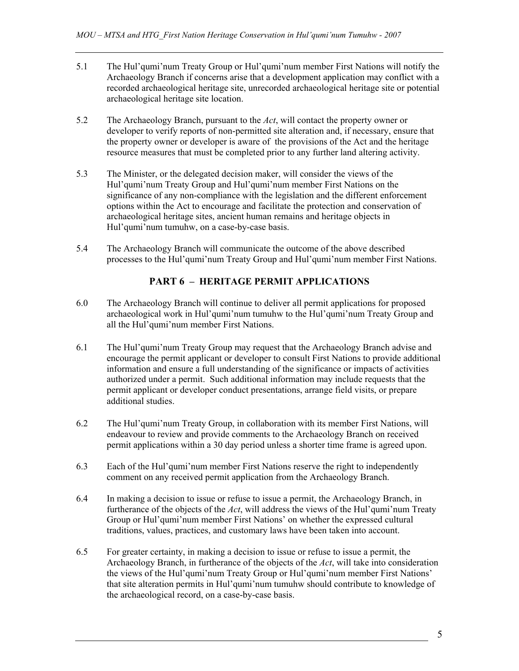- 5.1 The Hul'qumi'num Treaty Group or Hul'qumi'num member First Nations will notify the Archaeology Branch if concerns arise that a development application may conflict with a recorded archaeological heritage site, unrecorded archaeological heritage site or potential archaeological heritage site location.
- 5.2 The Archaeology Branch, pursuant to the *Act*, will contact the property owner or developer to verify reports of non-permitted site alteration and, if necessary, ensure that the property owner or developer is aware of the provisions of the Act and the heritage resource measures that must be completed prior to any further land altering activity.
- 5.3 The Minister, or the delegated decision maker, will consider the views of the Hul'qumi'num Treaty Group and Hul'qumi'num member First Nations on the significance of any non-compliance with the legislation and the different enforcement options within the Act to encourage and facilitate the protection and conservation of archaeological heritage sites, ancient human remains and heritage objects in Hul'qumi'num tumuhw, on a case-by-case basis.
- 5.4 The Archaeology Branch will communicate the outcome of the above described processes to the Hul'qumi'num Treaty Group and Hul'qumi'num member First Nations.

# **PART 6 – HERITAGE PERMIT APPLICATIONS**

- 6.0 The Archaeology Branch will continue to deliver all permit applications for proposed archaeological work in Hul'qumi'num tumuhw to the Hul'qumi'num Treaty Group and all the Hul'qumi'num member First Nations.
- 6.1 The Hul'qumi'num Treaty Group may request that the Archaeology Branch advise and encourage the permit applicant or developer to consult First Nations to provide additional information and ensure a full understanding of the significance or impacts of activities authorized under a permit. Such additional information may include requests that the permit applicant or developer conduct presentations, arrange field visits, or prepare additional studies.
- 6.2 The Hul'qumi'num Treaty Group, in collaboration with its member First Nations, will endeavour to review and provide comments to the Archaeology Branch on received permit applications within a 30 day period unless a shorter time frame is agreed upon.
- 6.3 Each of the Hul'qumi'num member First Nations reserve the right to independently comment on any received permit application from the Archaeology Branch.
- 6.4 In making a decision to issue or refuse to issue a permit, the Archaeology Branch, in furtherance of the objects of the *Act*, will address the views of the Hul'qumi'num Treaty Group or Hul'qumi'num member First Nations' on whether the expressed cultural traditions, values, practices, and customary laws have been taken into account.
- 6.5 For greater certainty, in making a decision to issue or refuse to issue a permit, the Archaeology Branch, in furtherance of the objects of the *Act*, will take into consideration the views of the Hul'qumi'num Treaty Group or Hul'qumi'num member First Nations' that site alteration permits in Hul'qumi'num tumuhw should contribute to knowledge of the archaeological record, on a case-by-case basis.

5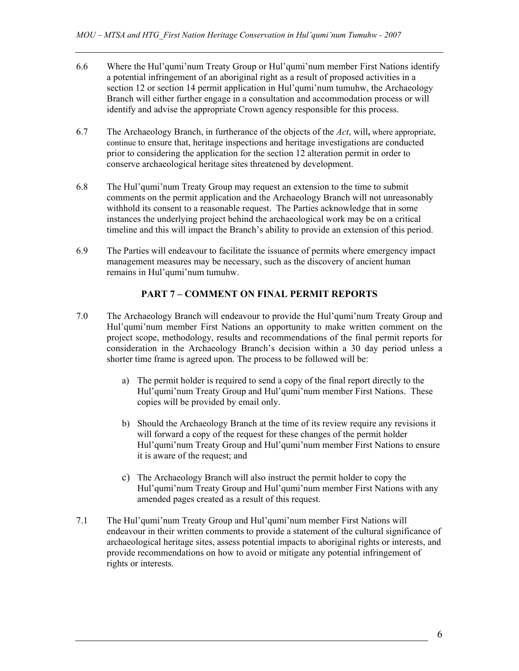- 6.6 Where the Hul'qumi'num Treaty Group or Hul'qumi'num member First Nations identify a potential infringement of an aboriginal right as a result of proposed activities in a section 12 or section 14 permit application in Hul'qumi'num tumuhw, the Archaeology Branch will either further engage in a consultation and accommodation process or will identify and advise the appropriate Crown agency responsible for this process.
- 6.7 The Archaeology Branch, in furtherance of the objects of the *Act*, will**,** where appropriate, continue to ensure that, heritage inspections and heritage investigations are conducted prior to considering the application for the section 12 alteration permit in order to conserve archaeological heritage sites threatened by development.
- 6.8 The Hul'qumi'num Treaty Group may request an extension to the time to submit comments on the permit application and the Archaeology Branch will not unreasonably withhold its consent to a reasonable request. The Parties acknowledge that in some instances the underlying project behind the archaeological work may be on a critical timeline and this will impact the Branch's ability to provide an extension of this period.
- 6.9 The Parties will endeavour to facilitate the issuance of permits where emergency impact management measures may be necessary, such as the discovery of ancient human remains in Hul'qumi'num tumuhw.

# **PART 7 – COMMENT ON FINAL PERMIT REPORTS**

- 7.0 The Archaeology Branch will endeavour to provide the Hul'qumi'num Treaty Group and Hul'qumi'num member First Nations an opportunity to make written comment on the project scope, methodology, results and recommendations of the final permit reports for consideration in the Archaeology Branch's decision within a 30 day period unless a shorter time frame is agreed upon. The process to be followed will be:
	- a) The permit holder is required to send a copy of the final report directly to the Hul'qumi'num Treaty Group and Hul'qumi'num member First Nations. These copies will be provided by email only.
	- b) Should the Archaeology Branch at the time of its review require any revisions it will forward a copy of the request for these changes of the permit holder Hul'qumi'num Treaty Group and Hul'qumi'num member First Nations to ensure it is aware of the request; and
	- c) The Archaeology Branch will also instruct the permit holder to copy the Hul'qumi'num Treaty Group and Hul'qumi'num member First Nations with any amended pages created as a result of this request.
- 7.1 The Hul'qumi'num Treaty Group and Hul'qumi'num member First Nations will endeavour in their written comments to provide a statement of the cultural significance of archaeological heritage sites, assess potential impacts to aboriginal rights or interests, and provide recommendations on how to avoid or mitigate any potential infringement of rights or interests.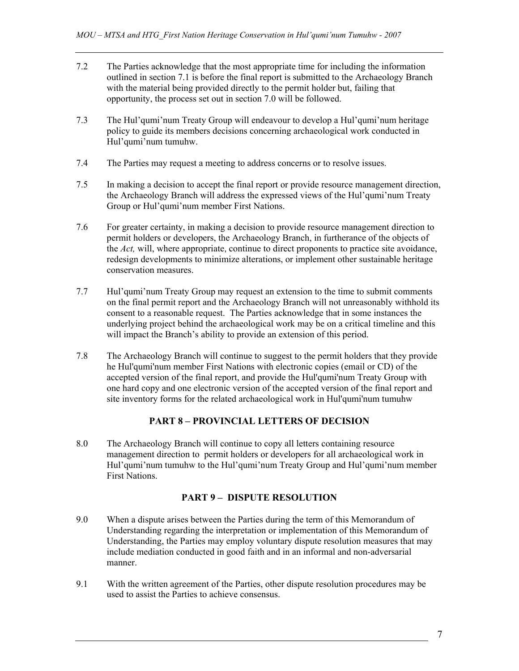- 7.2 The Parties acknowledge that the most appropriate time for including the information outlined in section 7.1 is before the final report is submitted to the Archaeology Branch with the material being provided directly to the permit holder but, failing that opportunity, the process set out in section 7.0 will be followed.
- 7.3 The Hul'qumi'num Treaty Group will endeavour to develop a Hul'qumi'num heritage policy to guide its members decisions concerning archaeological work conducted in Hul'qumi'num tumuhw.
- 7.4 The Parties may request a meeting to address concerns or to resolve issues.
- 7.5 In making a decision to accept the final report or provide resource management direction, the Archaeology Branch will address the expressed views of the Hul'qumi'num Treaty Group or Hul'qumi'num member First Nations.
- 7.6 For greater certainty, in making a decision to provide resource management direction to permit holders or developers, the Archaeology Branch, in furtherance of the objects of the *Act,* will, where appropriate, continue to direct proponents to practice site avoidance, redesign developments to minimize alterations, or implement other sustainable heritage conservation measures.
- 7.7 Hul'qumi'num Treaty Group may request an extension to the time to submit comments on the final permit report and the Archaeology Branch will not unreasonably withhold its consent to a reasonable request. The Parties acknowledge that in some instances the underlying project behind the archaeological work may be on a critical timeline and this will impact the Branch's ability to provide an extension of this period.
- 7.8 The Archaeology Branch will continue to suggest to the permit holders that they provide he Hul'qumi'num member First Nations with electronic copies (email or CD) of the accepted version of the final report, and provide the Hul'qumi'num Treaty Group with one hard copy and one electronic version of the accepted version of the final report and site inventory forms for the related archaeological work in Hul'qumi'num tumuhw

# **PART 8 – PROVINCIAL LETTERS OF DECISION**

8.0 The Archaeology Branch will continue to copy all letters containing resource management direction to permit holders or developers for all archaeological work in Hul'qumi'num tumuhw to the Hul'qumi'num Treaty Group and Hul'qumi'num member First Nations.

#### **PART 9 – DISPUTE RESOLUTION**

- 9.0 When a dispute arises between the Parties during the term of this Memorandum of Understanding regarding the interpretation or implementation of this Memorandum of Understanding, the Parties may employ voluntary dispute resolution measures that may include mediation conducted in good faith and in an informal and non-adversarial manner.
- 9.1 With the written agreement of the Parties, other dispute resolution procedures may be used to assist the Parties to achieve consensus.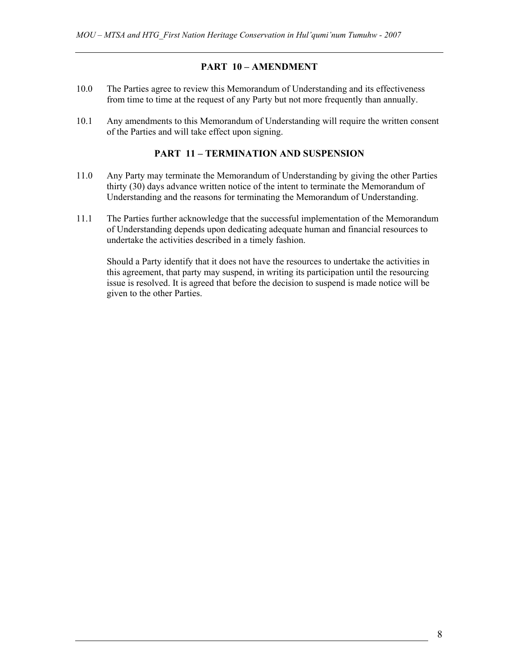#### **PART 10 – AMENDMENT**

- 10.0 The Parties agree to review this Memorandum of Understanding and its effectiveness from time to time at the request of any Party but not more frequently than annually.
- 10.1 Any amendments to this Memorandum of Understanding will require the written consent of the Parties and will take effect upon signing.

#### **PART 11 – TERMINATION AND SUSPENSION**

- 11.0 Any Party may terminate the Memorandum of Understanding by giving the other Parties thirty (30) days advance written notice of the intent to terminate the Memorandum of Understanding and the reasons for terminating the Memorandum of Understanding.
- 11.1 The Parties further acknowledge that the successful implementation of the Memorandum of Understanding depends upon dedicating adequate human and financial resources to undertake the activities described in a timely fashion.

Should a Party identify that it does not have the resources to undertake the activities in this agreement, that party may suspend, in writing its participation until the resourcing issue is resolved. It is agreed that before the decision to suspend is made notice will be given to the other Parties.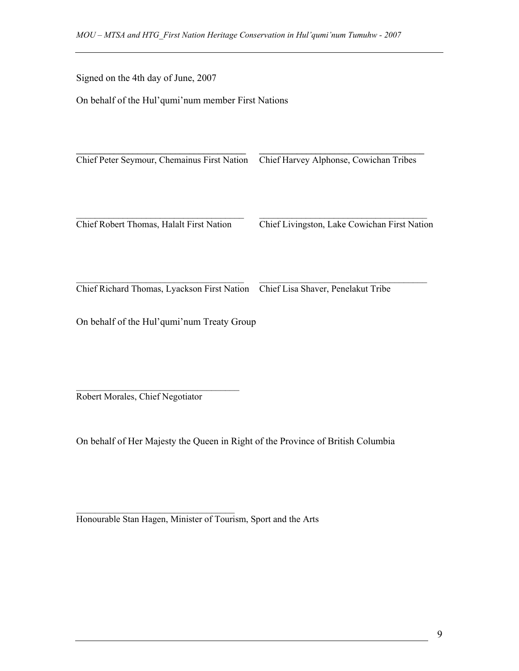Signed on the 4th day of June, 2007

On behalf of the Hul'qumi'num member First Nations

Chief Peter Seymour, Chemainus First Nation Chief Harvey Alphonse, Cowichan Tribes  $\mathcal{L}_\text{max} = \frac{1}{2} \sum_{i=1}^n \mathcal{L}_\text{max}(\mathbf{z}_i - \mathbf{z}_i)$ Chief Robert Thomas, Halalt First Nation Chief Livingston, Lake Cowichan First Nation

 $\_$  , and the set of the set of the set of the set of the set of the set of the set of the set of the set of the set of the set of the set of the set of the set of the set of the set of the set of the set of the set of th

\_\_\_\_\_\_\_\_\_\_\_\_\_\_\_\_\_\_\_\_\_\_\_\_\_\_\_\_\_\_\_\_\_\_\_\_ \_\_\_\_\_\_\_\_\_\_\_\_\_\_\_\_\_\_\_\_\_\_\_\_\_\_\_\_\_\_\_\_\_\_\_\_ Chief Richard Thomas, Lyackson First Nation Chief Lisa Shaver, Penelakut Tribe

On behalf of the Hul'qumi'num Treaty Group

 $\mathcal{L}_\text{max}$ Robert Morales, Chief Negotiator

 $\mathcal{L}_\text{max}$ 

On behalf of Her Majesty the Queen in Right of the Province of British Columbia

Honourable Stan Hagen, Minister of Tourism, Sport and the Arts